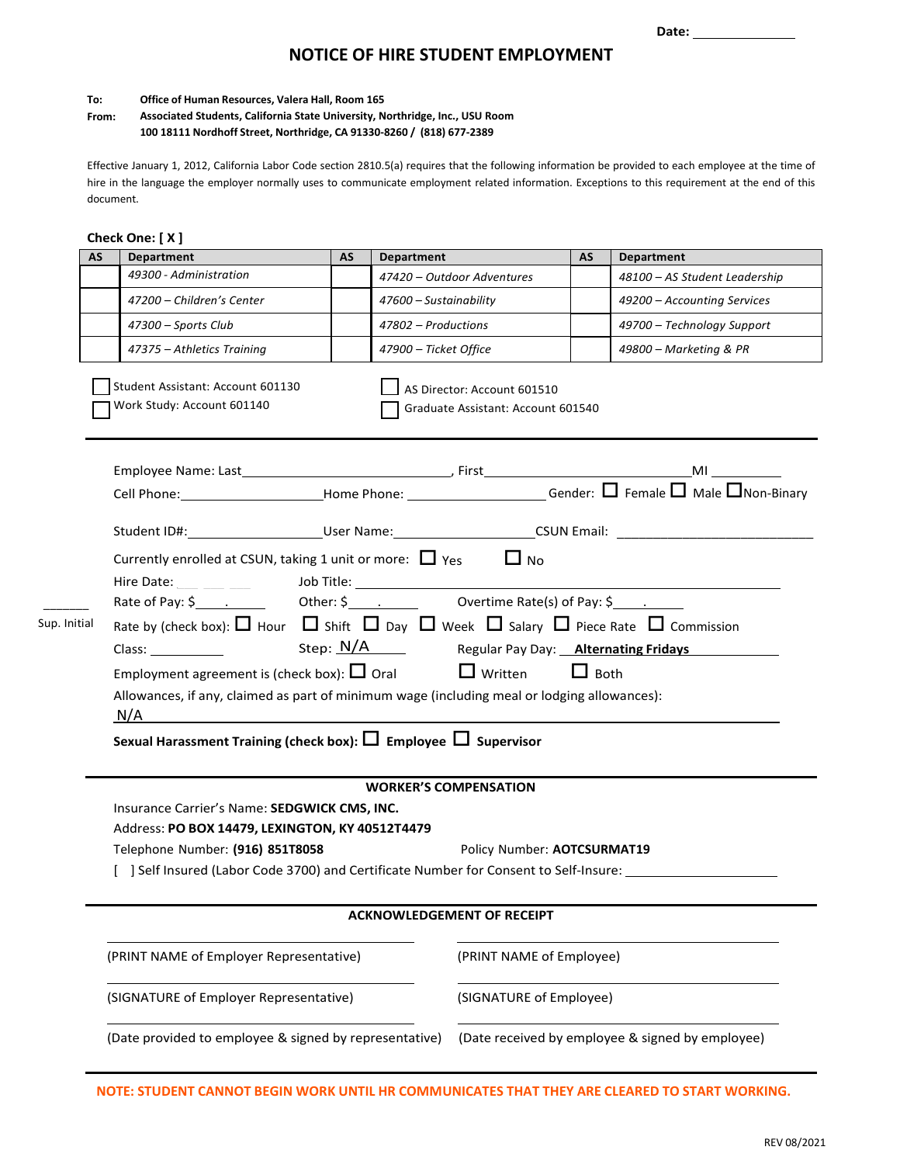# **NOTICE OF HIRE STUDENT EMPLOYMENT**

#### **To: Office of Human Resources, Valera Hall, Room 165**

#### **From: Associated Students, California State University, Northridge, Inc., USU Room 100 18111 Nordhoff Street, Northridge, CA 91330-8260 / (818) 677-2389**

Effective January 1, 2012, California Labor Code section 2810.5(a) requires that the following information be provided to each employee at the time of hire in the language the employer normally uses to communicate employment related information. Exceptions to this requirement at the end of this document.

| AS           | Check One: [X]<br><b>Department</b>                                                                                    | AS | Department                  |                                                                   | AS | Department                    |  |  |
|--------------|------------------------------------------------------------------------------------------------------------------------|----|-----------------------------|-------------------------------------------------------------------|----|-------------------------------|--|--|
|              | 49300 - Administration                                                                                                 |    |                             | 47420 - Outdoor Adventures                                        |    | 48100 - AS Student Leadership |  |  |
|              | 47200 - Children's Center                                                                                              |    | 47600 - Sustainability      |                                                                   |    | 49200 - Accounting Services   |  |  |
|              | 47300 - Sports Club                                                                                                    |    | 47802 - Productions         |                                                                   |    | 49700 - Technology Support    |  |  |
|              | 47375 - Athletics Training                                                                                             |    | 47900 - Ticket Office       |                                                                   |    | 49800 - Marketing & PR        |  |  |
|              | Student Assistant: Account 601130<br>Work Study: Account 601140                                                        |    |                             | AS Director: Account 601510<br>Graduate Assistant: Account 601540 |    |                               |  |  |
|              |                                                                                                                        |    |                             |                                                                   |    |                               |  |  |
|              |                                                                                                                        |    |                             |                                                                   |    |                               |  |  |
|              |                                                                                                                        |    |                             |                                                                   |    |                               |  |  |
|              | Student ID#:_________________________User Name:_________________________CSUN Email: __________________________         |    |                             |                                                                   |    |                               |  |  |
|              | Currently enrolled at CSUN, taking 1 unit or more: $\Box$ Yes                                                          |    |                             | $\Box$ No                                                         |    |                               |  |  |
|              | Hire Date:                                                                                                             |    |                             |                                                                   |    |                               |  |  |
|              | Rate of Pay: \$ 1. Cher: \$ 1. Cher: \$ 0vertime Rate(s) of Pay: \$ 2. 2.                                              |    |                             |                                                                   |    |                               |  |  |
| Sup. Initial | Rate by (check box): $\Box$ Hour $\Box$ Shift $\Box$ Day $\Box$ Week $\Box$ Salary $\Box$ Piece Rate $\Box$ Commission |    |                             |                                                                   |    |                               |  |  |
|              |                                                                                                                        |    |                             |                                                                   |    |                               |  |  |
|              | Employment agreement is (check box): $\Box$ Oral $\Box$ Written<br>$\Box$ Both                                         |    |                             |                                                                   |    |                               |  |  |
|              | Allowances, if any, claimed as part of minimum wage (including meal or lodging allowances):<br>N/A                     |    |                             |                                                                   |    |                               |  |  |
|              | Sexual Harassment Training (check box): $\square$ Employee $\square$ Supervisor                                        |    |                             |                                                                   |    |                               |  |  |
|              | <b>WORKER'S COMPENSATION</b>                                                                                           |    |                             |                                                                   |    |                               |  |  |
|              | Insurance Carrier's Name: SEDGWICK CMS, INC.                                                                           |    |                             |                                                                   |    |                               |  |  |
|              | Address: PO BOX 14479, LEXINGTON, KY 40512T4479                                                                        |    |                             |                                                                   |    |                               |  |  |
|              | Telephone Number: (916) 851T8058                                                                                       |    | Policy Number: AOTCSURMAT19 |                                                                   |    |                               |  |  |
|              | [ ] Self Insured (Labor Code 3700) and Certificate Number for Consent to Self-Insure:                                  |    |                             |                                                                   |    |                               |  |  |
|              | <b>ACKNOWLEDGEMENT OF RECEIPT</b>                                                                                      |    |                             |                                                                   |    |                               |  |  |
|              | (PRINT NAME of Employer Representative)                                                                                |    |                             | (PRINT NAME of Employee)                                          |    |                               |  |  |
|              | (SIGNATURE of Employer Representative)                                                                                 |    |                             | (SIGNATURE of Employee)                                           |    |                               |  |  |
|              | (Date provided to employee & signed by representative)                                                                 |    |                             | (Date received by employee & signed by employee)                  |    |                               |  |  |